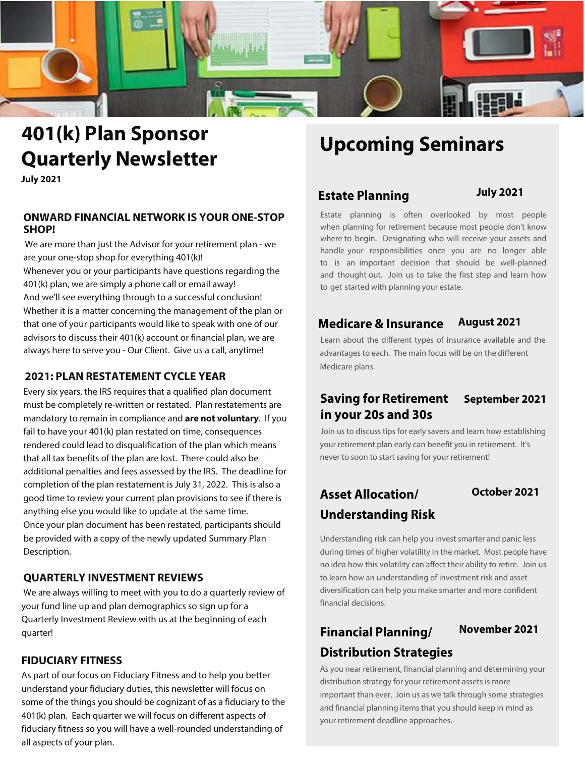

# **401(k) Plan Sponsor Quarterly Newsletter**

**July 2021**

#### **ONWARD FINANCIAL NETWORK IS YOUR ONE-STOP SHOP!**

We are more than just the Advisor for your retirement plan - we are your one-stop shop for everything 401(k)! Whenever you or your participants have questions regarding the 401(k) plan, we are simply a phone call or email away! And we'll see everything through to a successful conclusion! Whether it is a matter concerning the management of the plan or that one of your participants would like to speak with one of our advisors to discuss their 401(k) account or financial plan, we are always here to serve you - Our Client. Give us a call, anytime!

#### **2021: PLAN RESTATEMENT CYCLE YEAR**

Every six years, the IRS requires that a qualified plan document must be completely re-written or restated. Plan restatements are mandatory to remain in compliance and **are not voluntary**. If you fail to have your 401(k) plan restated on time, consequences rendered could lead to disqualification of the plan which means that all tax benefits of the plan are lost. There could also be additional penalties and fees assessed by the IRS. The deadline for completion of the plan restatement is July 31, 2022. This is also a good time to review your current plan provisions to see if there is anything else you would like to update at the same time. Once your plan document has been restated, participants should be provided with a copy of the newly updated Summary Plan Description.

#### **QUARTERLY INVESTMENT REVIEWS**

We are always willing to meet with you to do a quarterly review of your fund line up and plan demographics so sign up for a Quarterly Investment Review with us at the beginning of each quarter!

#### **FIDUCIARY FITNESS**

As part of our focus on Fiduciary Fitness and to help you better understand your fiduciary duties, this newsletter will focus on some of the things you should be cognizant of as a fiduciary to the 401(k) plan. Each quarter we will focus on different aspects of fiduciary fitness so you will have a well-rounded understanding of all aspects of your plan.

# **Upcoming Seminars**

## **July 2021 Estate Planning**

Estate planning is often overlooked by most people when planning for retirement because most people don't know where to begin. Designating who will receive your assets and handle your responsibilities once you are no longer able to is an important decision that should be well-planned and thought out. Join us to take the first step and learn how to get started with planning your estate.

### **Medicare & Insurance August 2021**

Learn about the different types of insurance available and the advantages to each. The main focus will be on the different Medicare plans.

## **Saving for Retirement September 2021 in your 20s and 30s**

Join us to discuss tips for early savers and learn how establishing your retirement plan early can benefit you in retirement. It's never to soon to start saving for your retirement!

# **Asset Allocation/ October 2021 Understanding Risk**

Understanding risk can help you invest smarter and panic less during times of higher volatility in the market. Most people have no idea how this volatility can affect their ability to retire. Join us to learn how an understanding of investment risk and asset diversification can help you make smarter and more confident financial decisions.

# **November 2021 Financial Planning/ Distribution Strategies**

As you near retirement, financial planning and determining your distribution strategy for your retirement assets is more important than ever. Join us as we talk through some strategies and financial planning items that you should keep in mind as your retirement deadline approaches.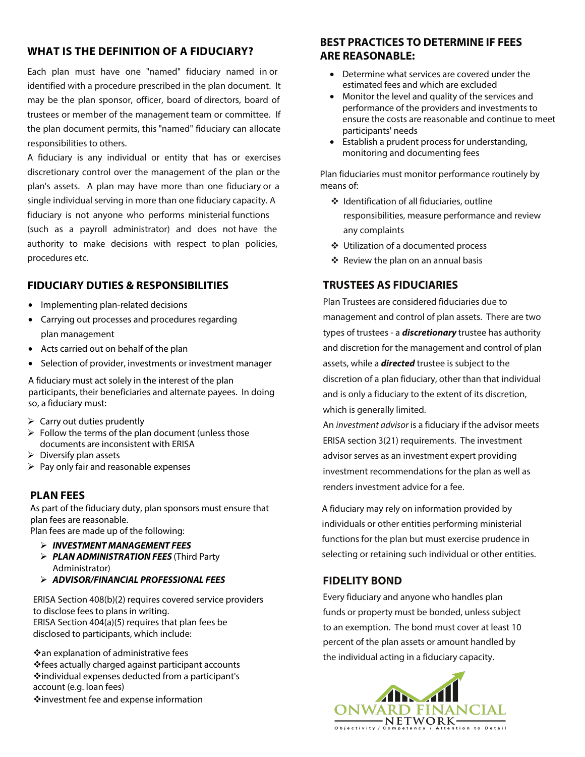#### **WHAT IS THE DEFINITION OF A FIDUCIARY?**

Each plan must have one "named" fiduciary named in or identified with a procedure prescribed in the plan document. It may be the plan sponsor, officer, board of directors, board of trustees or member of the management team or committee. If the plan document permits, this "named" fiduciary can allocate responsibilities to others.

A fiduciary is any individual or entity that has or exercises discretionary control over the management of the plan or the plan's assets. A plan may have more than one fiduciary or a single individual serving in more than one fiduciary capacity. A fiduciary is not anyone who performs ministerial functions (such as a payroll administrator) and does not have the authority to make decisions with respect to plan policies, procedures etc.

#### **FIDUCIARY DUTIES & RESPONSIBILITIES**

- Implementing plan-related decisions
- Carrying out processes and procedures regarding plan management
- Acts carried out on behalf of the plan
- Selection of provider, investments or investment manager

A fiduciary must act solely in the interest of the plan participants, their beneficiaries and alternate payees. In doing so, a fiduciary must:

- $\triangleright$  Carry out duties prudently
- $\triangleright$  Follow the terms of the plan document (unless those documents are inconsistent with ERISA
- $\triangleright$  Diversify plan assets
- $\triangleright$  Pay only fair and reasonable expenses

#### **PLAN FEES**

As part of the fiduciary duty, plan sponsors must ensure that plan fees are reasonable.

Plan fees are made up of the following:

- **INVESTMENT MANAGEMENT FEES**
- **PLAN ADMINISTRATION FEES** (Third Party Administrator)
- **ADVISOR/FINANCIAL PROFESSIONAL FEES**

ERISA Section 408(b)(2) requires covered service providers to disclose fees to plans in writing. ERISA Section 404(a)(5) requires that plan fees be disclosed to participants, which include:

 $\dots$ an explanation of administrative fees fees actually charged against participant accounts  $\dots$ individual expenses deducted from a participant's account (e.g. loan fees)

investment fee and expense information

### **BEST PRACTICES TO DETERMINE IF FEES ARE REASONABLE:**

- Determine what services are covered under the estimated fees and which are excluded
- Monitor the level and quality of the services and performance of the providers and investments to ensure the costs are reasonable and continue to meet participants' needs
- Establish a prudent process for understanding, monitoring and documenting fees

Plan fiduciaries must monitor performance routinely by means of:

- Identification of all fiduciaries, outline responsibilities, measure performance and review any complaints
- Utilization of a documented process
- $\div$  Review the plan on an annual basis

### **TRUSTEES AS FIDUCIARIES**

Plan Trustees are considered fiduciaries due to management and control of plan assets. There are two types of trustees - a **discretionary** trustee has authority and discretion for the management and control of plan assets, while a **directed** trustee is subject to the discretion of a plan fiduciary, other than that individual and is only a fiduciary to the extent of its discretion, which is generally limited.

An investment advisor is a fiduciary if the advisor meets ERISA section 3(21) requirements. The investment advisor serves as an investment expert providing investment recommendations for the plan as well as renders investment advice for a fee.

A fiduciary may rely on information provided by individuals or other entities performing ministerial functions for the plan but must exercise prudence in selecting or retaining such individual or other entities.

#### **FIDELITY BOND**

Every fiduciary and anyone who handles plan funds or property must be bonded, unless subject to an exemption. The bond must cover at least 10 percent of the plan assets or amount handled by the individual acting in a fiduciary capacity.